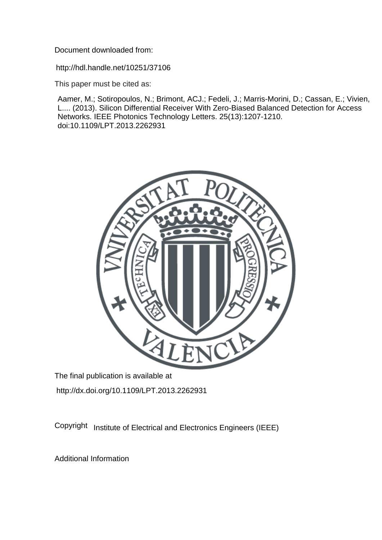Document downloaded from:

http://hdl.handle.net/10251/37106

This paper must be cited as:

Aamer, M.; Sotiropoulos, N.; Brimont, ACJ.; Fedeli, J.; Marris-Morini, D.; Cassan, E.; Vivien, L.... (2013). Silicon Differential Receiver With Zero-Biased Balanced Detection for Access Networks. IEEE Photonics Technology Letters. 25(13):1207-1210. doi:10.1109/LPT.2013.2262931



The final publication is available at http://dx.doi.org/10.1109/LPT.2013.2262931

Copyright Institute of Electrical and Electronics Engineers (IEEE)

Additional Information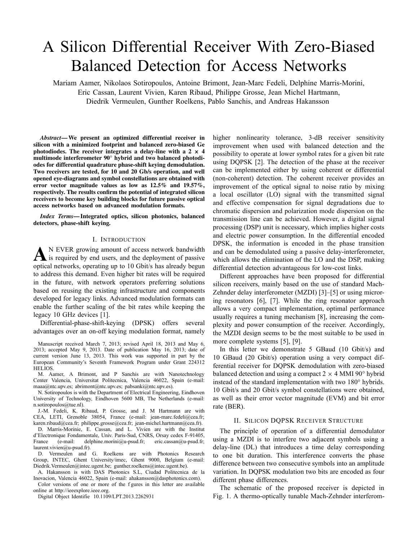# A Silicon Differential Receiver With Zero-Biased Balanced Detection for Access Networks

Mariam Aamer, Nikolaos Sotiropoulos, Antoine Brimont, Jean-Marc Fedeli, Delphine Marris-Morini, Eric Cassan, Laurent Vivien, Karen Ribaud, Philippe Grosse, Jean Michel Hartmann, Diedrik Vermeulen, Gunther Roelkens, Pablo Sanchis, and Andreas Hakansson

*Abstract***— We present an optimized differential receiver in silicon with a minimized footprint and balanced zero-biased Ge** photodiodes. The receiver integrates a delay-line with a  $2 \times 4$ **multimode interferometer 90° hybrid and two balanced photodiodes for differential quadrature phase-shift keying demodulation. Two receivers are tested, for 10 and 20 Gb/s operation, and well opened eye-diagrams and symbol constellations are obtained with error vector magnitude values as low as 12.5% and 19.57%, respectively. The results confirm the potential of integrated silicon receivers to become key building blocks for future passive optical access networks based on advanced modulation formats.**

*Index Terms***— Integrated optics, silicon photonics, balanced detectors, phase-shift keying.**

# I. INTRODUCTION

A <sup>N</sup> EVER growing amount of access network bandwidth<br>is required by end users, and the deployment of passive optical networks, operating up to 10 Gbit/s has already begun to address this demand. Even higher bit rates will be required in the future, with network operators preferring solutions based on reusing the existing infrastructure and components developed for legacy links. Advanced modulation formats can enable the further scaling of the bit rates while keeping the legacy 10 GHz devices [1].

Differential-phase-shift-keying (DPSK) offers several advantages over an on-off keying modulation format, namely

Manuscript received March 7, 2013; revised April 18, 2013 and May 6, 2013; accepted May 9, 2013. Date of publication May 16, 2013; date of current version June 13, 2013. This work was supported in part by the European Community's Seventh Framework Program under Grant 224312 HELIOS.

M. Aamer, A Brimont, and P Sanchis are with Nanotechnology Center Valencia, Universitat Politecnica, Valencia 46022, Spain (e-mail: maaa@ntc.upv.es; abrimont@ntc.upv.es; pabsanki@ntc.upv.es).

N. Sotiropoulos is with the Department of Electrical Engineering, Eindhoven University of Technology, Eindhoven 5600 MB, The Netherlands (e-mail: n.sotiropoulos@tue.nl).

J.-M. Fedeli, K. Ribaud, P. Grosse, and J. M Hartmann are with CEA, LETI, Grenoble 38054, France (e-mail: jean-marc.fedeli@cea.fr; karen.ribaud@cea.fr; philippe.grosse@cea.fr; jean-michel.hartmann@cea.fr).

D. Marris-Morinie, E. Cassan, and L. Vivien are with the Institut d'Electronique Fondamentale, Univ. Paris-Sud, CNRS, Orsay cedex F-91405, France (e-mail: delphine.morini@u-psud.fr; eric.cassan@u-psud.fr; laurent.vivien@u-psud.fr).

D. Vermeulen and G. Roelkens are with Photonics Research Group, INTEC, Ghent University/imec, Ghent 9000, Belgium (e-mail: Diedrik.Vermeulen@intec.ugent.be; gunther.roelkens@intec.ugent.be).

A. Hakansson is with DAS Photonics S.L, Ciudad Politecnica de la Inovacion, Valencia 46022, Spain (e-mail: ahakansson@dasphotonics.com).

Color versions of one or more of the f gures in this letter are available online at http://ieeexplore.ieee.org.

Digital Object Identifie 10.1109/LPT.2013.2262931

higher nonlinearity tolerance, 3-dB receiver sensitivity improvement when used with balanced detection and the possibility to operate at lower symbol rates for a given bit rate using DQPSK [2]. The detection of the phase at the receiver can be implemented either by using coherent or differential (non-coherent) detection. The coherent receiver provides an improvement of the optical signal to noise ratio by mixing a local oscillator (LO) signal with the transmitted signal and effective compensation for signal degradations due to chromatic dispersion and polarization mode dispersion on the transmission line can be achieved. However, a digital signal processing (DSP) unit is necessary, which implies higher costs and electric power consumption. In the differential encoded DPSK, the information is encoded in the phase transition and can be demodulated using a passive delay-interferometer, which allows the elimination of the LO and the DSP, making differential detection advantageous for low-cost links.

Different approaches have been proposed for differential silicon receivers, mainly based on the use of standard Mach-Zehnder delay interferometer (MZDI) [3]–[5] or using microring resonators [6], [7]. While the ring resonator approach allows a very compact implementation, optimal performance usually requires a tuning mechanism [8], increasing the complexity and power consumption of the receiver. Accordingly, the MZDI design seems to be the most suitable to be used in more complete systems [5], [9].

In this letter we demonstrate 5 GBaud (10 Gbit/s) and 10 GBaud (20 Gbit/s) operation using a very compact differential receiver for DQPSK demodulation with zero-biased balanced detection and using a compact  $2 \times 4$  MMI 90 $\degree$  hybrid instead of the standard implementation with two 180° hybrids. 10 Gbit/s and 20 Gbit/s symbol constellations were obtained, as well as their error vector magnitude (EVM) and bit error rate (BER).

# II. SILICON DQPSK RECEIVER STRUCTURE

The principle of operation of a differential demodulator using a MZDI is to interfere two adjacent symbols using a delay-line (DL) that introduces a time delay corresponding to one bit duration. This interference converts the phase difference between two consecutive symbols into an amplitude variation. In DQPSK modulation two bits are encoded as four different phase differences.

The schematic of the proposed receiver is depicted in Fig. 1. A thermo-optically tunable Mach-Zehnder interferom-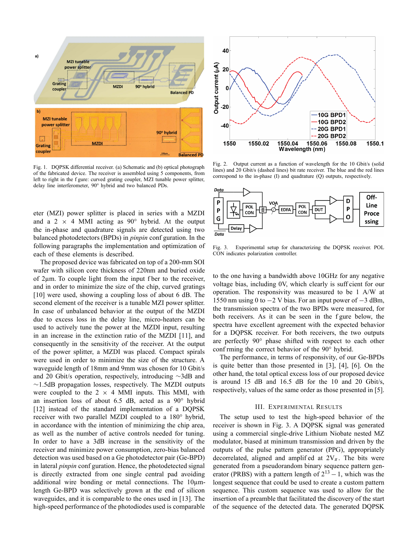

Fig. 1. DQPSK differential receiver. (a) Schematic and (b) optical photograph of the fabricated device. The receiver is assembled using 5 components, from left to right in the f gure: curved grating coupler, MZI tunable power splitter, delay line interferometer, 90° hybrid and two balanced PDs.

eter (MZI) power splitter is placed in series with a MZDI and a 2  $\times$  4 MMI acting as 90° hybrid. At the output the in-phase and quadrature signals are detected using two balanced photodetectors (BPDs) in *pinpin* conf guration. In the following paragraphs the implementation and optimization of each of these elements is described.

The proposed device was fabricated on top of a 200-mm SOI wafer with silicon core thickness of 220nm and buried oxide of 2µm. To couple light from the input f ber to the receiver, and in order to minimize the size of the chip, curved gratings [10] were used, showing a coupling loss of about 6 dB. The second element of the receiver is a tunable MZI power splitter. In case of unbalanced behavior at the output of the MZDI due to excess loss in the delay line, micro-heaters can be used to actively tune the power at the MZDI input, resulting in an increase in the extinction ratio of the MZDI [11], and consequently in the sensitivity of the receiver. At the output of the power splitter, a MZDI was placed. Compact spirals were used in order to minimize the size of the structure. A waveguide length of 18mm and 9mm was chosen for 10 Gbit/s and 20 Gbit/s operation, respectively, introducing ∼3dB and ∼1.5dB propagation losses, respectively. The MZDI outputs were coupled to the  $2 \times 4$  MMI inputs. This MMI, with an insertion loss of about 6.5 dB, acted as a 90° hybrid [12] instead of the standard implementation of a DQPSK receiver with two parallel MZDI coupled to a 180° hybrid, in accordance with the intention of minimizing the chip area, as well as the number of active controls needed for tuning. In order to have a 3dB increase in the sensitivity of the receiver and minimize power consumption, zero-bias balanced detection was used based on a Ge photodetector pair (Ge-BPD) in lateral *pinpin* conf guration. Hence, the photodetected signal is directly extracted from one single central pad avoiding additional wire bonding or metal connections. The 10 $\mu$ mlength Ge-BPD was selectively grown at the end of silicon waveguides, and it is comparable to the ones used in [13]. The high-speed performance of the photodiodes used is comparable



Fig. 2. Output current as a function of wavelength for the 10 Gbit/s (solid lines) and 20 Gbit/s (dashed lines) bit rate receiver. The blue and the red lines correspond to the in-phase (I) and quadrature (Q) outputs, respectively.



Fig. 3. Experimental setup for characterizing the DQPSK receiver. POL CON indicates polarization controller.

to the one having a bandwidth above 10GHz for any negative voltage bias, including 0V, which clearly is suff cient for our operation. The responsivity was measured to be 1 A/W at 1550 nm using 0 to  $-2$  V bias. For an input power of  $-3$  dBm, the transmission spectra of the two BPDs were measured, for both receivers. As it can be seen in the f gure below, the spectra have excellent agreement with the expected behavior for a DQPSK receiver. For both receivers, the two outputs are perfectly 90° phase shifted with respect to each other conf rming the correct behavior of the 90° hybrid.

The performance, in terms of responsivity, of our Ge-BPDs is quite better than those presented in [3], [4], [6]. On the other hand, the total optical excess loss of our proposed device is around 15 dB and 16.5 dB for the 10 and 20 Gbit/s, respectively, values of the same order as those presented in [5].

## III. EXPERIMENTAL RESULTS

The setup used to test the high-speed behavior of the receiver is shown in Fig. 3. A DQPSK signal was generated using a commercial single-drive Lithium Niobate nested MZ modulator, biased at minimum transmission and driven by the outputs of the pulse pattern generator (PPG), appropriately decorrelated, aligned and amplif ed at  $2V_\pi$ . The bits were generated from a pseudorandom binary sequence pattern generator (PRBS) with a pattern length of  $2^{13} - 1$ , which was the longest sequence that could be used to create a custom pattern sequence. This custom sequence was used to allow for the insertion of a preamble that facilitated the discovery of the start of the sequence of the detected data. The generated DQPSK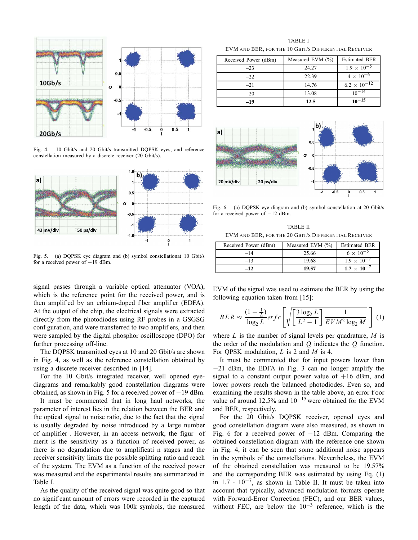

Fig. 4. 10 Gbit/s and 20 Gbit/s transmitted DQPSK eyes, and reference constellation measured by a discrete receiver (20 Gbit/s).



Fig. 5. (a) DQPSK eye diagram and (b) symbol constellationat 10 Gbit/s for a received power of −19 dBm.

signal passes through a variable optical attenuator (VOA), which is the reference point for the received power, and is then amplif ed by an erbium-doped f ber amplif er (EDFA). At the output of the chip, the electrical signals were extracted directly from the photodiodes using RF probes in a GSGSG conf guration, and were transferred to two amplif ers, and then were sampled by the digital phosphor oscilloscope (DPO) for further processing off-line.

The DQPSK transmitted eyes at 10 and 20 Gbit/s are shown in Fig. 4, as well as the reference constellation obtained by using a discrete receiver described in [14].

For the 10 Gbit/s integrated receiver, well opened eyediagrams and remarkably good constellation diagrams were obtained, as shown in Fig. 5 for a received power of −19 dBm.

It must be commented that in long haul networks, the parameter of interest lies in the relation between the BER and the optical signal to noise ratio, due to the fact that the signal is usually degraded by noise introduced by a large number of amplifier . However, in an access network, the figur of merit is the sensitivity as a function of received power, as there is no degradation due to amplificati n stages and the receiver sensitivity limits the possible splitting ratio and reach of the system. The EVM as a function of the received power was measured and the experimental results are summarized in Table I.

As the quality of the received signal was quite good so that no signif cant amount of errors were recorded in the captured length of the data, which was 100k symbols, the measured

TABLE I EVM AND BER, FOR THE 10 GBIT/S DIFFERENTIAL RECEIVER

| Received Power (dBm) | Measured EVM (%) | <b>Estimated BER</b>  |
|----------------------|------------------|-----------------------|
| $-23$                | 24.27            | $1.9 \times 10^{-5}$  |
| $-22$                | 22.39            | $4 \times 10^{-6}$    |
| $-21$                | 14.76            | $6.2 \times 10^{-12}$ |
| $-20$                | 13.08            | $10^{-14}$            |
| -19                  | 12.5             | $10^{-15}$            |



Fig. 6. (a) DQPSK eye diagram and (b) symbol constellation at 20 Gbit/s for a received power of −12 dBm.

TABLE II EVM AND BER, FOR THE 20 GBIT/S DIFFERENTIAL RECEIVER

| Received Power (dBm) | Measured EVM $(\% )$ | <b>Estimated BER</b> |
|----------------------|----------------------|----------------------|
| $-14$                | 25.66                | $6 \times 10^{-5}$   |
| $-13$                | 19.68                | $1.9 \times 10^{-7}$ |
| -12                  | 19.57                | $1.7 \times 10^{-7}$ |

EVM of the signal was used to estimate the BER by using the following equation taken from [15]:

$$
BER \approx \frac{(1 - \frac{1}{L})}{\log_2 L} erfc\left[\sqrt{\left[\frac{3\log_2 L}{L^2 - 1}\right] \frac{1}{EVM^2\log_2 M}}\right] (1)
$$

where *L* is the number of signal levels per quadrature, *M* is the order of the modulation and *Q* indicates the *Q* function. For QPSK modulation, *L* is 2 and *M* is 4.

It must be commented that for input powers lower than −21 dBm, the EDFA in Fig. 3 can no longer amplify the signal to a constant output power value of  $+16$  dBm, and lower powers reach the balanced photodiodes. Even so, and examining the results shown in the table above, an error f oor value of around 12.5% and 10−<sup>15</sup> were obtained for the EVM and BER, respectively.

For the 20 Gbit/s DQPSK receiver, opened eyes and good constellation diagram were also measured, as shown in Fig. 6 for a received power of  $-12$  dBm. Comparing the obtained constellation diagram with the reference one shown in Fig. 4, it can be seen that some additional noise appears in the symbols of the constellations. Nevertheless, the EVM of the obtained constellation was measured to be 19.57% and the corresponding BER was estimated by using Eq. (1) in  $1.7 \cdot 10^{-7}$ , as shown in Table II. It must be taken into account that typically, advanced modulation formats operate with Forward-Error Correction (FEC), and our BER values, without FEC, are below the  $10^{-3}$  reference, which is the